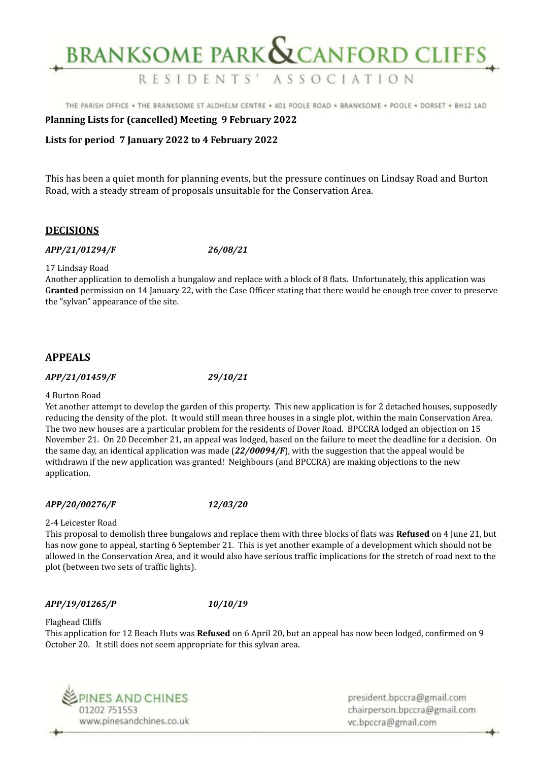# **BRANKSOME PARK & CANFORD CLIFFS**

THE PARISH OFFICE . THE BRANKSOME ST ALDHELM CENTRE . 401 POOLE ROAD . BRANKSOME . POOLE . DORSET . BH12 1AD

RESIDENTS' ASSOCIATION

# **Planning Lists for (cancelled) Meeting 9 February 2022**

### **Lists for period 7 January 2022 to 4 February 2022**

This has been a quiet month for planning events, but the pressure continues on Lindsay Road and Burton Road, with a steady stream of proposals unsuitable for the Conservation Area.

### **DECISIONS**

### *APP/21/01294/F 26/08/21*

17 Lindsay Road

Another application to demolish a bungalow and replace with a block of 8 flats. Unfortunately, this application was G**ranted** permission on 14 January 22, with the Case Officer stating that there would be enough tree cover to preserve the "sylvan" appearance of the site.

# **APPEALS**

### *APP/21/01459/F 29/10/21*

#### 4 Burton Road

Yet another attempt to develop the garden of this property. This new application is for 2 detached houses, supposedly reducing the density of the plot. It would still mean three houses in a single plot, within the main Conservation Area. The two new houses are a particular problem for the residents of Dover Road. BPCCRA lodged an objection on 15 November 21. On 20 December 21, an appeal was lodged, based on the failure to meet the deadline for a decision. On the same day, an identical application was made (*22/00094/F*), with the suggestion that the appeal would be withdrawn if the new application was granted! Neighbours (and BPCCRA) are making objections to the new application.

### *APP/20/00276/F 12/03/20*

### 2-4 Leicester Road

This proposal to demolish three bungalows and replace them with three blocks of flats was **Refused** on 4 June 21, but has now gone to appeal, starting 6 September 21. This is yet another example of a development which should not be allowed in the Conservation Area, and it would also have serious traffic implications for the stretch of road next to the plot (between two sets of traffic lights).

### *APP/19/01265/P 10/10/19*

# Flaghead Cliffs

This application for 12 Beach Huts was **Refused** on 6 April 20, but an appeal has now been lodged, confirmed on 9 October 20. It still does not seem appropriate for this sylvan area.



president.bpccra@gmail.com chairperson.bpccra@gmail.com vc.bpccra@gmail.com